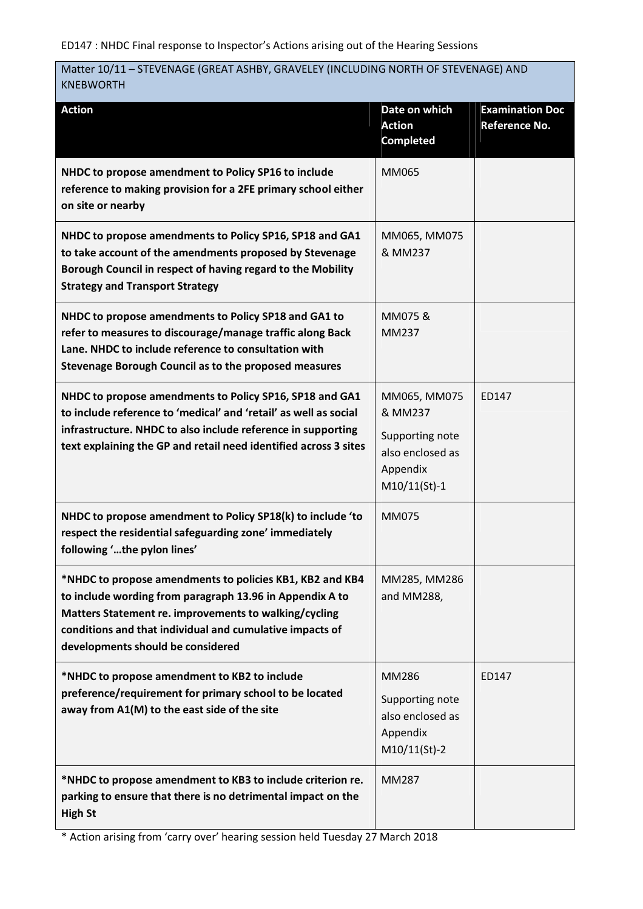# Matter 10/11 – STEVENAGE (GREAT ASHBY, GRAVELEY (INCLUDING NORTH OF STEVENAGE) AND KNEBWORTH

| <b>Action</b>                                                                                                                                                                                                                                                                  | Date on which<br><b>Action</b><br><b>Completed</b>                                           | <b>Examination Doc</b><br><b>Reference No.</b> |
|--------------------------------------------------------------------------------------------------------------------------------------------------------------------------------------------------------------------------------------------------------------------------------|----------------------------------------------------------------------------------------------|------------------------------------------------|
| NHDC to propose amendment to Policy SP16 to include<br>reference to making provision for a 2FE primary school either<br>on site or nearby                                                                                                                                      | MM065                                                                                        |                                                |
| NHDC to propose amendments to Policy SP16, SP18 and GA1<br>to take account of the amendments proposed by Stevenage<br>Borough Council in respect of having regard to the Mobility<br><b>Strategy and Transport Strategy</b>                                                    | MM065, MM075<br>& MM237                                                                      |                                                |
| NHDC to propose amendments to Policy SP18 and GA1 to<br>refer to measures to discourage/manage traffic along Back<br>Lane. NHDC to include reference to consultation with<br>Stevenage Borough Council as to the proposed measures                                             | MM075 &<br>MM237                                                                             |                                                |
| NHDC to propose amendments to Policy SP16, SP18 and GA1<br>to include reference to 'medical' and 'retail' as well as social<br>infrastructure. NHDC to also include reference in supporting<br>text explaining the GP and retail need identified across 3 sites                | MM065, MM075<br>& MM237<br>Supporting note<br>also enclosed as<br>Appendix<br>$M10/11(St)-1$ | ED147                                          |
| NHDC to propose amendment to Policy SP18(k) to include 'to<br>respect the residential safeguarding zone' immediately<br>following 'the pylon lines'                                                                                                                            | MM075                                                                                        |                                                |
| *NHDC to propose amendments to policies KB1, KB2 and KB4<br>to include wording from paragraph 13.96 in Appendix A to<br>Matters Statement re. improvements to walking/cycling<br>conditions and that individual and cumulative impacts of<br>developments should be considered | MM285, MM286<br>and MM288,                                                                   |                                                |
| *NHDC to propose amendment to KB2 to include<br>preference/requirement for primary school to be located<br>away from A1(M) to the east side of the site                                                                                                                        | MM286<br>Supporting note<br>also enclosed as<br>Appendix<br>$M10/11(St)-2$                   | ED147                                          |
| *NHDC to propose amendment to KB3 to include criterion re.<br>parking to ensure that there is no detrimental impact on the<br><b>High St</b>                                                                                                                                   | MM287                                                                                        |                                                |

\* Action arising from 'carry over' hearing session held Tuesday 27 March 2018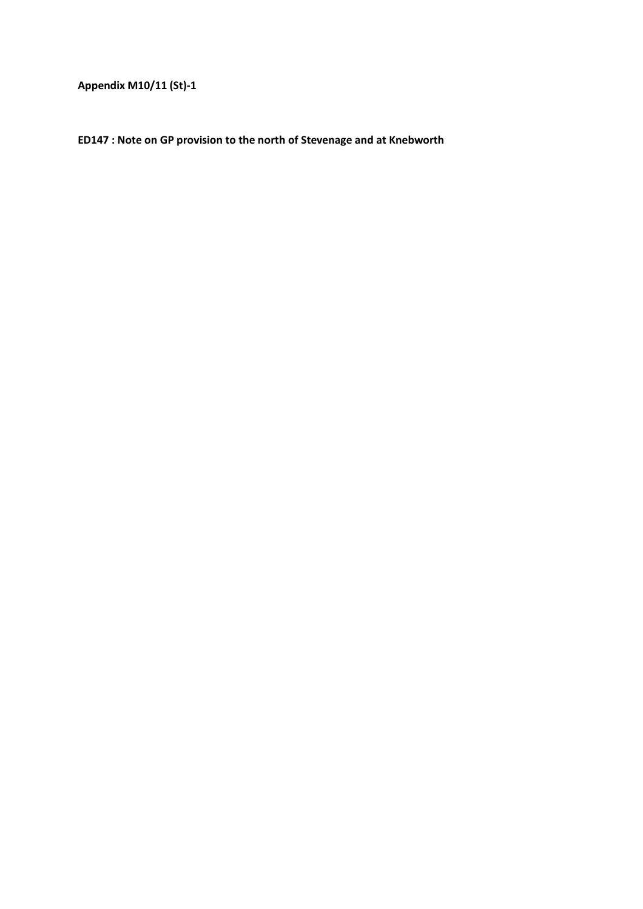**Appendix M10/11 (St)-1** 

**ED147 : Note on GP provision to the north of Stevenage and at Knebworth**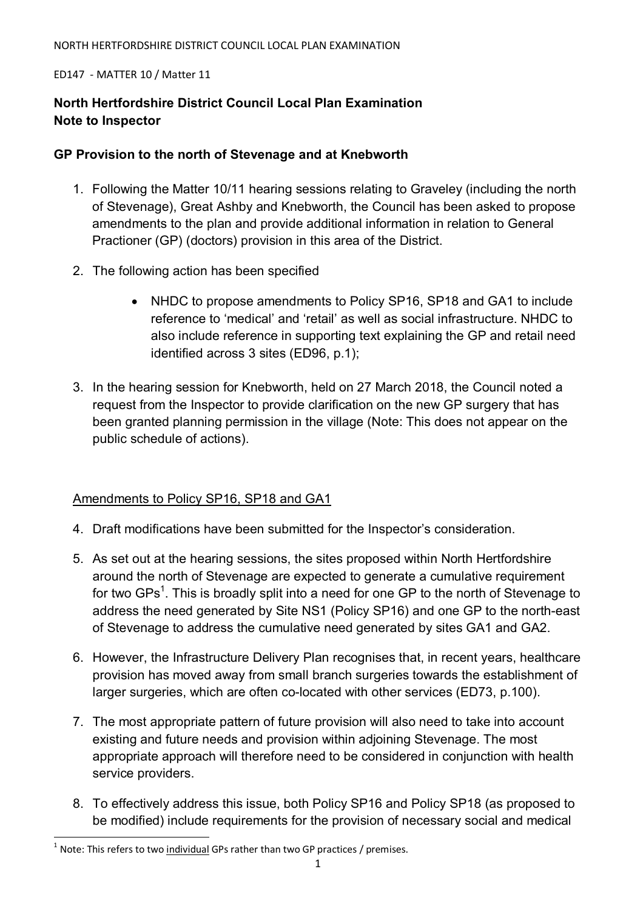#### ED147 - MATTER 10 / Matter 11

# **North Hertfordshire District Council Local Plan Examination Note to Inspector**

## **GP Provision to the north of Stevenage and at Knebworth**

- 1. Following the Matter 10/11 hearing sessions relating to Graveley (including the north of Stevenage), Great Ashby and Knebworth, the Council has been asked to propose amendments to the plan and provide additional information in relation to General Practioner (GP) (doctors) provision in this area of the District.
- 2. The following action has been specified
	- NHDC to propose amendments to Policy SP16, SP18 and GA1 to include reference to 'medical' and 'retail' as well as social infrastructure. NHDC to also include reference in supporting text explaining the GP and retail need identified across 3 sites (ED96, p.1);
- 3. In the hearing session for Knebworth, held on 27 March 2018, the Council noted a request from the Inspector to provide clarification on the new GP surgery that has been granted planning permission in the village (Note: This does not appear on the public schedule of actions).

### Amendments to Policy SP16, SP18 and GA1

- 4. Draft modifications have been submitted for the Inspector's consideration.
- 5. As set out at the hearing sessions, the sites proposed within North Hertfordshire around the north of Stevenage are expected to generate a cumulative requirement for two GPs<sup>1</sup>. This is broadly split into a need for one GP to the north of Stevenage to address the need generated by Site NS1 (Policy SP16) and one GP to the north-east of Stevenage to address the cumulative need generated by sites GA1 and GA2.
- 6. However, the Infrastructure Delivery Plan recognises that, in recent years, healthcare provision has moved away from small branch surgeries towards the establishment of larger surgeries, which are often co-located with other services (ED73, p.100).
- 7. The most appropriate pattern of future provision will also need to take into account existing and future needs and provision within adjoining Stevenage. The most appropriate approach will therefore need to be considered in conjunction with health service providers.
- 8. To effectively address this issue, both Policy SP16 and Policy SP18 (as proposed to be modified) include requirements for the provision of necessary social and medical

l

 $^1$  Note: This refers to two individual GPs rather than two GP practices / premises.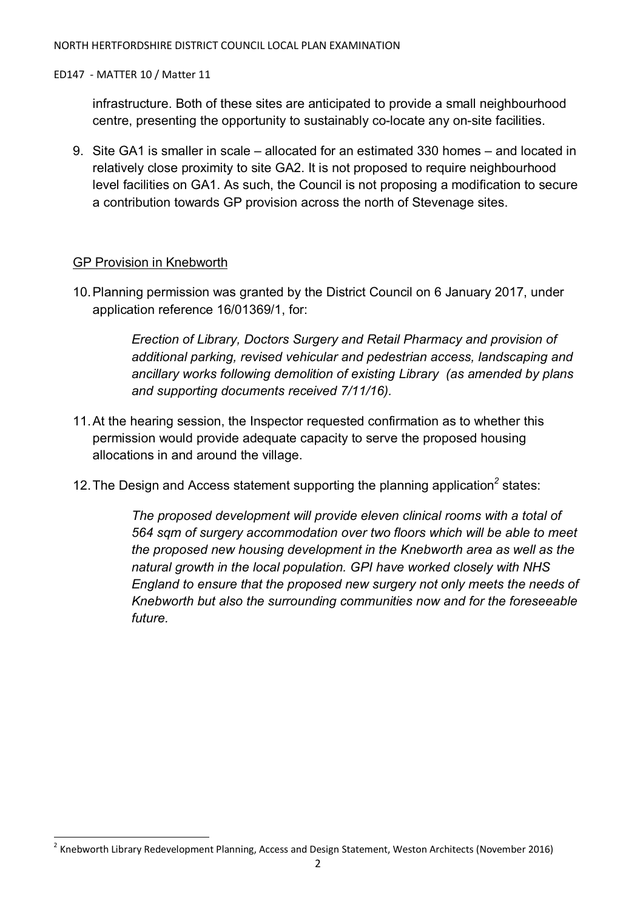#### ED147 - MATTER 10 / Matter 11

infrastructure. Both of these sites are anticipated to provide a small neighbourhood centre, presenting the opportunity to sustainably co-locate any on-site facilities.

9. Site GA1 is smaller in scale – allocated for an estimated 330 homes – and located in relatively close proximity to site GA2. It is not proposed to require neighbourhood level facilities on GA1. As such, the Council is not proposing a modification to secure a contribution towards GP provision across the north of Stevenage sites.

## GP Provision in Knebworth

l

10. Planning permission was granted by the District Council on 6 January 2017, under application reference 16/01369/1, for:

> *Erection of Library, Doctors Surgery and Retail Pharmacy and provision of additional parking, revised vehicular and pedestrian access, landscaping and ancillary works following demolition of existing Library (as amended by plans and supporting documents received 7/11/16).*

- 11. At the hearing session, the Inspector requested confirmation as to whether this permission would provide adequate capacity to serve the proposed housing allocations in and around the village.
- 12. The Design and Access statement supporting the planning application<sup>2</sup> states:

*The proposed development will provide eleven clinical rooms with a total of 564 sqm of surgery accommodation over two floors which will be able to meet the proposed new housing development in the Knebworth area as well as the natural growth in the local population. GPI have worked closely with NHS England to ensure that the proposed new surgery not only meets the needs of Knebworth but also the surrounding communities now and for the foreseeable future.* 

<sup>&</sup>lt;sup>2</sup> Knebworth Library Redevelopment Planning, Access and Design Statement, Weston Architects (November 2016)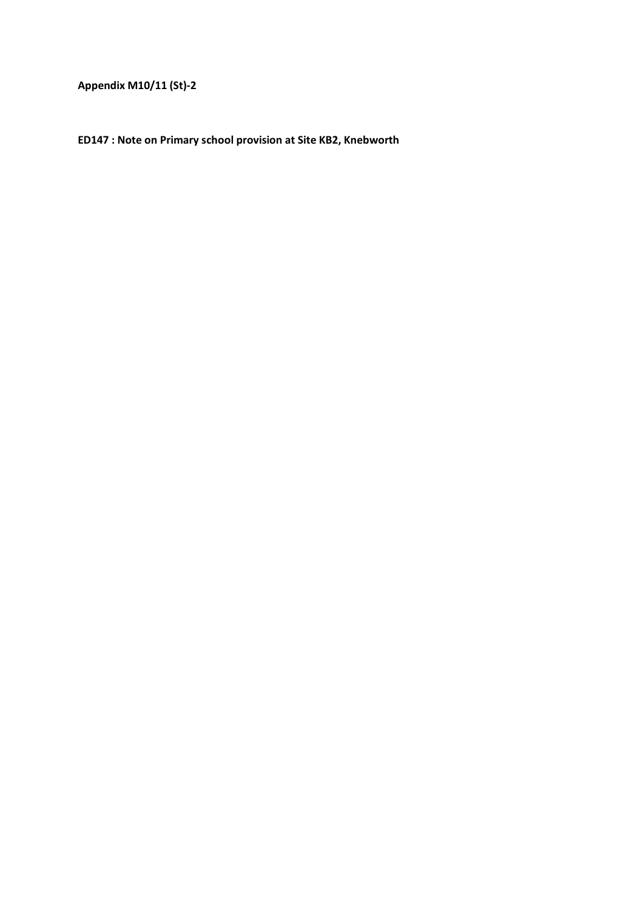**Appendix M10/11 (St)-2** 

**ED147 : Note on Primary school provision at Site KB2, Knebworth**